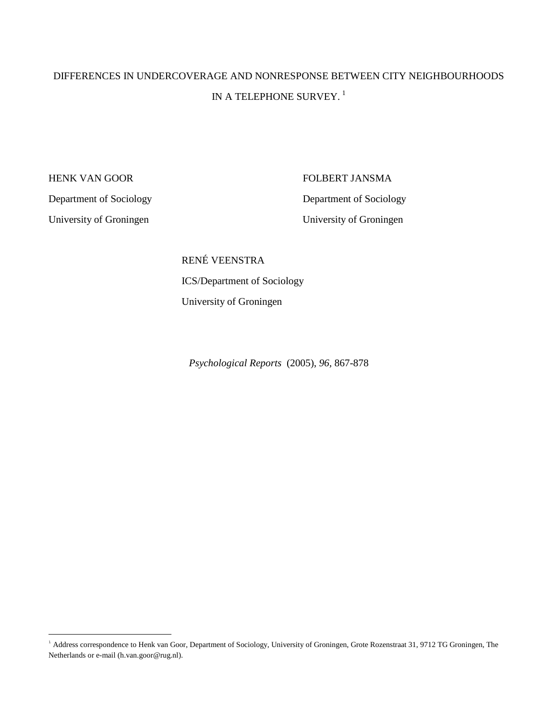# DIFFERENCES IN UNDERCOVERAGE AND NONRESPONSE BETWEEN CITY NEIGHBOURHOODS IN A TELEPHONE SURVEY.<sup>1</sup>

HENK VAN GOOR FOLBERT JANSMA Department of Sociology Department of Sociology University of Groningen University of Groningen

 $\ddot{\phantom{a}}$ 

 RENÉ VEENSTRA ICS/Department of Sociology University of Groningen

*Psychological Reports* (2005), *96,* 867-878

<sup>&</sup>lt;sup>1</sup> Address correspondence to Henk van Goor, Department of Sociology, University of Groningen, Grote Rozenstraat 31, 9712 TG Groningen, The Netherlands or e-mail (h.van.goor@rug.nl).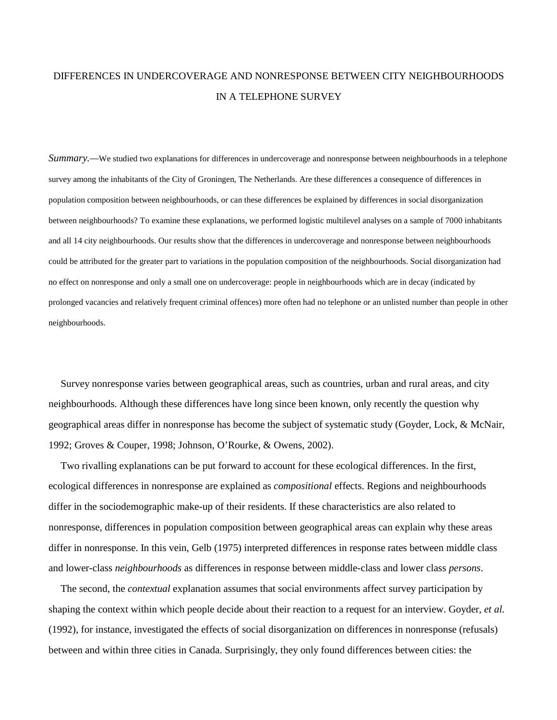## DIFFERENCES IN UNDERCOVERAGE AND NONRESPONSE BETWEEN CITY NEIGHBOURHOODS IN A TELEPHONE SURVEY

*Summary.—*We studied two explanations for differences in undercoverage and nonresponse between neighbourhoods in a telephone survey among the inhabitants of the City of Groningen, The Netherlands. Are these differences a consequence of differences in population composition between neighbourhoods, or can these differences be explained by differences in social disorganization between neighbourhoods? To examine these explanations, we performed logistic multilevel analyses on a sample of 7000 inhabitants and all 14 city neighbourhoods. Our results show that the differences in undercoverage and nonresponse between neighbourhoods could be attributed for the greater part to variations in the population composition of the neighbourhoods. Social disorganization had no effect on nonresponse and only a small one on undercoverage: people in neighbourhoods which are in decay (indicated by prolonged vacancies and relatively frequent criminal offences) more often had no telephone or an unlisted number than people in other neighbourhoods.

 Survey nonresponse varies between geographical areas, such as countries, urban and rural areas, and city neighbourhoods. Although these differences have long since been known, only recently the question why geographical areas differ in nonresponse has become the subject of systematic study (Goyder, Lock, & McNair, 1992; Groves & Couper, 1998; Johnson, O'Rourke, & Owens, 2002).

 Two rivalling explanations can be put forward to account for these ecological differences. In the first, ecological differences in nonresponse are explained as *compositional* effects. Regions and neighbourhoods differ in the sociodemographic make-up of their residents. If these characteristics are also related to nonresponse, differences in population composition between geographical areas can explain why these areas differ in nonresponse. In this vein, Gelb (1975) interpreted differences in response rates between middle class and lower-class *neighbourhoods* as differences in response between middle-class and lower class *persons*.

 The second, the *contextual* explanation assumes that social environments affect survey participation by shaping the context within which people decide about their reaction to a request for an interview. Goyder, *et al.* (1992), for instance, investigated the effects of social disorganization on differences in nonresponse (refusals) between and within three cities in Canada. Surprisingly, they only found differences between cities: the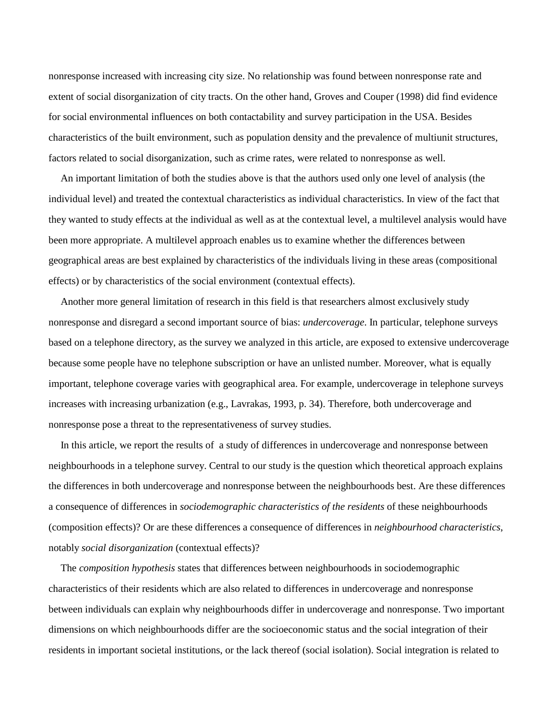nonresponse increased with increasing city size. No relationship was found between nonresponse rate and extent of social disorganization of city tracts. On the other hand, Groves and Couper (1998) did find evidence for social environmental influences on both contactability and survey participation in the USA. Besides characteristics of the built environment, such as population density and the prevalence of multiunit structures, factors related to social disorganization, such as crime rates, were related to nonresponse as well.

 An important limitation of both the studies above is that the authors used only one level of analysis (the individual level) and treated the contextual characteristics as individual characteristics. In view of the fact that they wanted to study effects at the individual as well as at the contextual level, a multilevel analysis would have been more appropriate. A multilevel approach enables us to examine whether the differences between geographical areas are best explained by characteristics of the individuals living in these areas (compositional effects) or by characteristics of the social environment (contextual effects).

 Another more general limitation of research in this field is that researchers almost exclusively study nonresponse and disregard a second important source of bias: *undercoverage*. In particular, telephone surveys based on a telephone directory, as the survey we analyzed in this article, are exposed to extensive undercoverage because some people have no telephone subscription or have an unlisted number. Moreover, what is equally important, telephone coverage varies with geographical area. For example, undercoverage in telephone surveys increases with increasing urbanization (e.g., Lavrakas, 1993, p. 34). Therefore, both undercoverage and nonresponse pose a threat to the representativeness of survey studies.

 In this article, we report the results of a study of differences in undercoverage and nonresponse between neighbourhoods in a telephone survey. Central to our study is the question which theoretical approach explains the differences in both undercoverage and nonresponse between the neighbourhoods best. Are these differences a consequence of differences in *sociodemographic characteristics of the residents* of these neighbourhoods (composition effects)? Or are these differences a consequence of differences in *neighbourhood characteristics*, notably *social disorganization* (contextual effects)?

 The *composition hypothesis* states that differences between neighbourhoods in sociodemographic characteristics of their residents which are also related to differences in undercoverage and nonresponse between individuals can explain why neighbourhoods differ in undercoverage and nonresponse. Two important dimensions on which neighbourhoods differ are the socioeconomic status and the social integration of their residents in important societal institutions, or the lack thereof (social isolation). Social integration is related to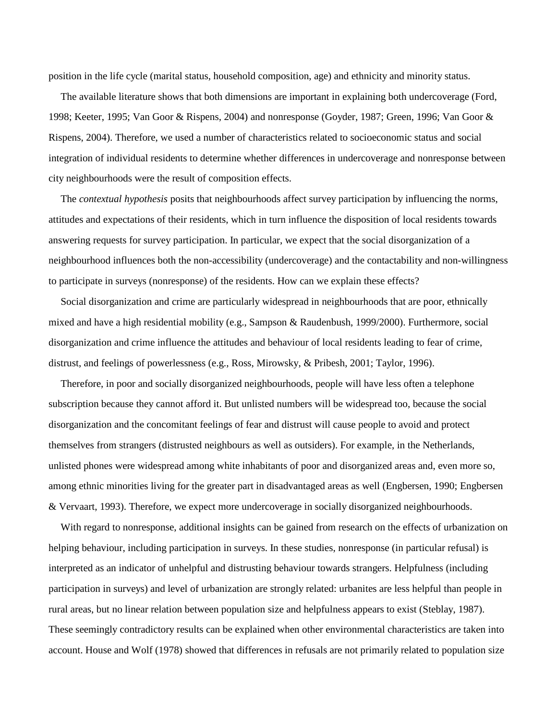position in the life cycle (marital status, household composition, age) and ethnicity and minority status.

 The available literature shows that both dimensions are important in explaining both undercoverage (Ford, 1998; Keeter, 1995; Van Goor & Rispens, 2004) and nonresponse (Goyder, 1987; Green, 1996; Van Goor & Rispens, 2004). Therefore, we used a number of characteristics related to socioeconomic status and social integration of individual residents to determine whether differences in undercoverage and nonresponse between city neighbourhoods were the result of composition effects.

 The *contextual hypothesis* posits that neighbourhoods affect survey participation by influencing the norms, attitudes and expectations of their residents, which in turn influence the disposition of local residents towards answering requests for survey participation. In particular, we expect that the social disorganization of a neighbourhood influences both the non-accessibility (undercoverage) and the contactability and non-willingness to participate in surveys (nonresponse) of the residents. How can we explain these effects?

 Social disorganization and crime are particularly widespread in neighbourhoods that are poor, ethnically mixed and have a high residential mobility (e.g., Sampson & Raudenbush, 1999/2000). Furthermore, social disorganization and crime influence the attitudes and behaviour of local residents leading to fear of crime, distrust, and feelings of powerlessness (e.g., Ross, Mirowsky, & Pribesh, 2001; Taylor, 1996).

 Therefore, in poor and socially disorganized neighbourhoods, people will have less often a telephone subscription because they cannot afford it. But unlisted numbers will be widespread too, because the social disorganization and the concomitant feelings of fear and distrust will cause people to avoid and protect themselves from strangers (distrusted neighbours as well as outsiders). For example, in the Netherlands, unlisted phones were widespread among white inhabitants of poor and disorganized areas and, even more so, among ethnic minorities living for the greater part in disadvantaged areas as well (Engbersen, 1990; Engbersen & Vervaart, 1993). Therefore, we expect more undercoverage in socially disorganized neighbourhoods.

 With regard to nonresponse, additional insights can be gained from research on the effects of urbanization on helping behaviour, including participation in surveys. In these studies, nonresponse (in particular refusal) is interpreted as an indicator of unhelpful and distrusting behaviour towards strangers. Helpfulness (including participation in surveys) and level of urbanization are strongly related: urbanites are less helpful than people in rural areas, but no linear relation between population size and helpfulness appears to exist (Steblay, 1987). These seemingly contradictory results can be explained when other environmental characteristics are taken into account. House and Wolf (1978) showed that differences in refusals are not primarily related to population size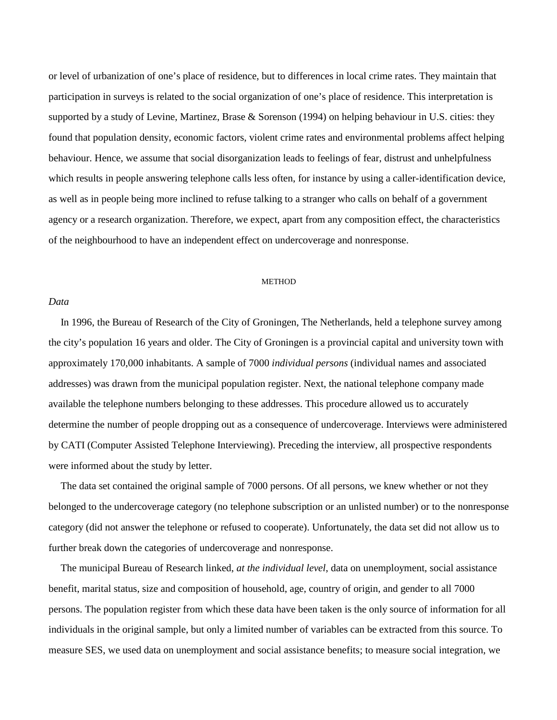or level of urbanization of one's place of residence, but to differences in local crime rates. They maintain that participation in surveys is related to the social organization of one's place of residence. This interpretation is supported by a study of Levine, Martinez, Brase & Sorenson (1994) on helping behaviour in U.S. cities: they found that population density, economic factors, violent crime rates and environmental problems affect helping behaviour. Hence, we assume that social disorganization leads to feelings of fear, distrust and unhelpfulness which results in people answering telephone calls less often, for instance by using a caller-identification device, as well as in people being more inclined to refuse talking to a stranger who calls on behalf of a government agency or a research organization. Therefore, we expect, apart from any composition effect, the characteristics of the neighbourhood to have an independent effect on undercoverage and nonresponse.

### **METHOD**

## *Data*

 In 1996, the Bureau of Research of the City of Groningen, The Netherlands, held a telephone survey among the city's population 16 years and older. The City of Groningen is a provincial capital and university town with approximately 170,000 inhabitants. A sample of 7000 *individual persons* (individual names and associated addresses) was drawn from the municipal population register. Next, the national telephone company made available the telephone numbers belonging to these addresses. This procedure allowed us to accurately determine the number of people dropping out as a consequence of undercoverage. Interviews were administered by CATI (Computer Assisted Telephone Interviewing). Preceding the interview, all prospective respondents were informed about the study by letter.

 The data set contained the original sample of 7000 persons. Of all persons, we knew whether or not they belonged to the undercoverage category (no telephone subscription or an unlisted number) or to the nonresponse category (did not answer the telephone or refused to cooperate). Unfortunately, the data set did not allow us to further break down the categories of undercoverage and nonresponse.

 The municipal Bureau of Research linked, *at the individual level*, data on unemployment, social assistance benefit, marital status, size and composition of household, age, country of origin, and gender to all 7000 persons. The population register from which these data have been taken is the only source of information for all individuals in the original sample, but only a limited number of variables can be extracted from this source. To measure SES, we used data on unemployment and social assistance benefits; to measure social integration, we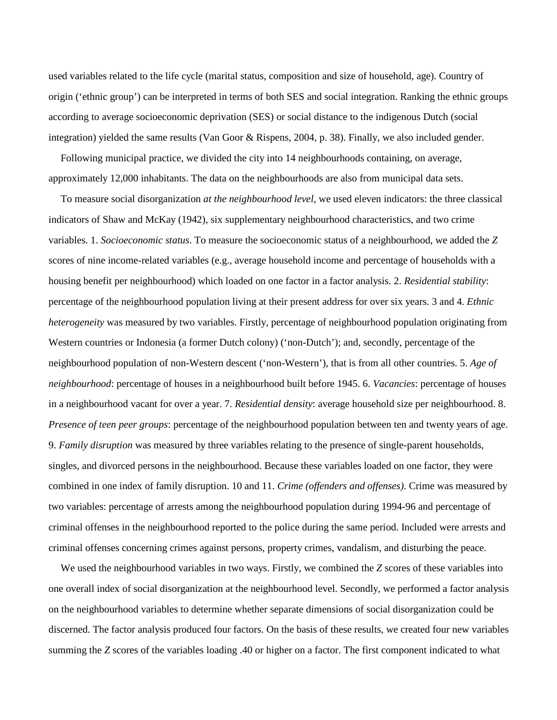used variables related to the life cycle (marital status, composition and size of household, age). Country of origin ('ethnic group') can be interpreted in terms of both SES and social integration. Ranking the ethnic groups according to average socioeconomic deprivation (SES) or social distance to the indigenous Dutch (social integration) yielded the same results (Van Goor & Rispens, 2004, p. 38). Finally, we also included gender.

 Following municipal practice, we divided the city into 14 neighbourhoods containing, on average, approximately 12,000 inhabitants. The data on the neighbourhoods are also from municipal data sets.

 To measure social disorganization *at the neighbourhood level*, we used eleven indicators: the three classical indicators of Shaw and McKay (1942), six supplementary neighbourhood characteristics, and two crime variables. 1. *Socioeconomic status*. To measure the socioeconomic status of a neighbourhood, we added the *Z* scores of nine income-related variables (e.g., average household income and percentage of households with a housing benefit per neighbourhood) which loaded on one factor in a factor analysis. 2. *Residential stability*: percentage of the neighbourhood population living at their present address for over six years. 3 and 4. *Ethnic heterogeneity* was measured by two variables. Firstly, percentage of neighbourhood population originating from Western countries or Indonesia (a former Dutch colony) ('non-Dutch'); and, secondly, percentage of the neighbourhood population of non-Western descent ('non-Western'), that is from all other countries. 5. *Age of neighbourhood*: percentage of houses in a neighbourhood built before 1945. 6. *Vacancies*: percentage of houses in a neighbourhood vacant for over a year. 7. *Residential density*: average household size per neighbourhood. 8. *Presence of teen peer groups*: percentage of the neighbourhood population between ten and twenty years of age. 9. *Family disruption* was measured by three variables relating to the presence of single-parent households, singles, and divorced persons in the neighbourhood. Because these variables loaded on one factor, they were combined in one index of family disruption. 10 and 11. *Crime (offenders and offenses)*. Crime was measured by two variables: percentage of arrests among the neighbourhood population during 1994-96 and percentage of criminal offenses in the neighbourhood reported to the police during the same period. Included were arrests and criminal offenses concerning crimes against persons, property crimes, vandalism, and disturbing the peace.

 We used the neighbourhood variables in two ways. Firstly, we combined the *Z* scores of these variables into one overall index of social disorganization at the neighbourhood level. Secondly, we performed a factor analysis on the neighbourhood variables to determine whether separate dimensions of social disorganization could be discerned. The factor analysis produced four factors. On the basis of these results, we created four new variables summing the *Z* scores of the variables loading .40 or higher on a factor. The first component indicated to what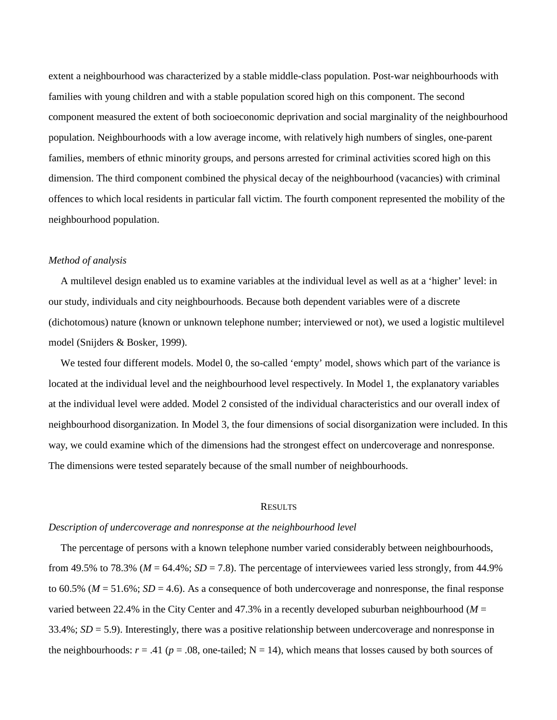extent a neighbourhood was characterized by a stable middle-class population. Post-war neighbourhoods with families with young children and with a stable population scored high on this component. The second component measured the extent of both socioeconomic deprivation and social marginality of the neighbourhood population. Neighbourhoods with a low average income, with relatively high numbers of singles, one-parent families, members of ethnic minority groups, and persons arrested for criminal activities scored high on this dimension. The third component combined the physical decay of the neighbourhood (vacancies) with criminal offences to which local residents in particular fall victim. The fourth component represented the mobility of the neighbourhood population.

## *Method of analysis*

 A multilevel design enabled us to examine variables at the individual level as well as at a 'higher' level: in our study, individuals and city neighbourhoods. Because both dependent variables were of a discrete (dichotomous) nature (known or unknown telephone number; interviewed or not), we used a logistic multilevel model (Snijders & Bosker, 1999).

We tested four different models. Model 0, the so-called 'empty' model, shows which part of the variance is located at the individual level and the neighbourhood level respectively. In Model 1, the explanatory variables at the individual level were added. Model 2 consisted of the individual characteristics and our overall index of neighbourhood disorganization. In Model 3, the four dimensions of social disorganization were included. In this way, we could examine which of the dimensions had the strongest effect on undercoverage and nonresponse. The dimensions were tested separately because of the small number of neighbourhoods.

#### **RESULTS**

## *Description of undercoverage and nonresponse at the neighbourhood level*

 The percentage of persons with a known telephone number varied considerably between neighbourhoods, from 49.5% to 78.3% ( $M = 64.4\%$ ;  $SD = 7.8$ ). The percentage of interviewees varied less strongly, from 44.9% to  $60.5\%$  ( $M = 51.6\%$ ;  $SD = 4.6$ ). As a consequence of both undercoverage and nonresponse, the final response varied between 22.4% in the City Center and 47.3% in a recently developed suburban neighbourhood  $(M =$ 33.4%; *SD* = 5.9). Interestingly, there was a positive relationship between undercoverage and nonresponse in the neighbourhoods:  $r = .41$  ( $p = .08$ , one-tailed; N = 14), which means that losses caused by both sources of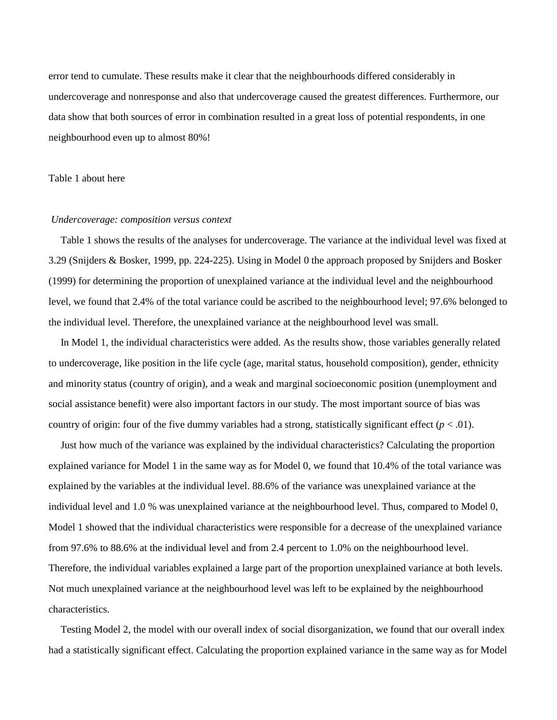error tend to cumulate. These results make it clear that the neighbourhoods differed considerably in undercoverage and nonresponse and also that undercoverage caused the greatest differences. Furthermore, our data show that both sources of error in combination resulted in a great loss of potential respondents, in one neighbourhood even up to almost 80%!

### Table 1 about here

## *Undercoverage: composition versus context*

 Table 1 shows the results of the analyses for undercoverage. The variance at the individual level was fixed at 3.29 (Snijders & Bosker, 1999, pp. 224-225). Using in Model 0 the approach proposed by Snijders and Bosker (1999) for determining the proportion of unexplained variance at the individual level and the neighbourhood level, we found that 2.4% of the total variance could be ascribed to the neighbourhood level; 97.6% belonged to the individual level. Therefore, the unexplained variance at the neighbourhood level was small.

 In Model 1, the individual characteristics were added. As the results show, those variables generally related to undercoverage, like position in the life cycle (age, marital status, household composition), gender, ethnicity and minority status (country of origin), and a weak and marginal socioeconomic position (unemployment and social assistance benefit) were also important factors in our study. The most important source of bias was country of origin: four of the five dummy variables had a strong, statistically significant effect  $(p < .01)$ .

 Just how much of the variance was explained by the individual characteristics? Calculating the proportion explained variance for Model 1 in the same way as for Model 0, we found that 10.4% of the total variance was explained by the variables at the individual level. 88.6% of the variance was unexplained variance at the individual level and 1.0 % was unexplained variance at the neighbourhood level. Thus, compared to Model 0, Model 1 showed that the individual characteristics were responsible for a decrease of the unexplained variance from 97.6% to 88.6% at the individual level and from 2.4 percent to 1.0% on the neighbourhood level. Therefore, the individual variables explained a large part of the proportion unexplained variance at both levels. Not much unexplained variance at the neighbourhood level was left to be explained by the neighbourhood characteristics.

 Testing Model 2, the model with our overall index of social disorganization, we found that our overall index had a statistically significant effect. Calculating the proportion explained variance in the same way as for Model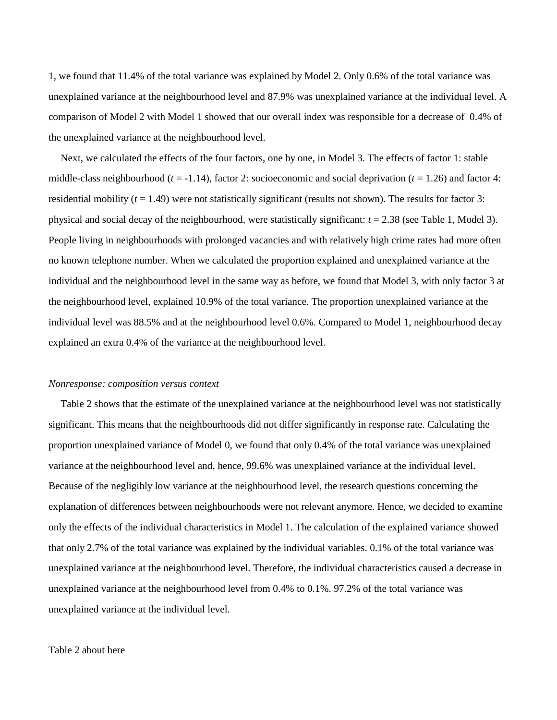1, we found that 11.4% of the total variance was explained by Model 2. Only 0.6% of the total variance was unexplained variance at the neighbourhood level and 87.9% was unexplained variance at the individual level. A comparison of Model 2 with Model 1 showed that our overall index was responsible for a decrease of 0.4% of the unexplained variance at the neighbourhood level.

 Next, we calculated the effects of the four factors, one by one, in Model 3. The effects of factor 1: stable middle-class neighbourhood  $(t = -1.14)$ , factor 2: socioeconomic and social deprivation  $(t = 1.26)$  and factor 4: residential mobility  $(t = 1.49)$  were not statistically significant (results not shown). The results for factor 3: physical and social decay of the neighbourhood, were statistically significant: *t* = 2.38 (see Table 1, Model 3). People living in neighbourhoods with prolonged vacancies and with relatively high crime rates had more often no known telephone number. When we calculated the proportion explained and unexplained variance at the individual and the neighbourhood level in the same way as before, we found that Model 3, with only factor 3 at the neighbourhood level, explained 10.9% of the total variance. The proportion unexplained variance at the individual level was 88.5% and at the neighbourhood level 0.6%. Compared to Model 1, neighbourhood decay explained an extra 0.4% of the variance at the neighbourhood level.

### *Nonresponse: composition versus context*

 Table 2 shows that the estimate of the unexplained variance at the neighbourhood level was not statistically significant. This means that the neighbourhoods did not differ significantly in response rate. Calculating the proportion unexplained variance of Model 0, we found that only 0.4% of the total variance was unexplained variance at the neighbourhood level and, hence, 99.6% was unexplained variance at the individual level. Because of the negligibly low variance at the neighbourhood level, the research questions concerning the explanation of differences between neighbourhoods were not relevant anymore. Hence, we decided to examine only the effects of the individual characteristics in Model 1. The calculation of the explained variance showed that only 2.7% of the total variance was explained by the individual variables. 0.1% of the total variance was unexplained variance at the neighbourhood level. Therefore, the individual characteristics caused a decrease in unexplained variance at the neighbourhood level from 0.4% to 0.1%. 97.2% of the total variance was unexplained variance at the individual level.

#### Table 2 about here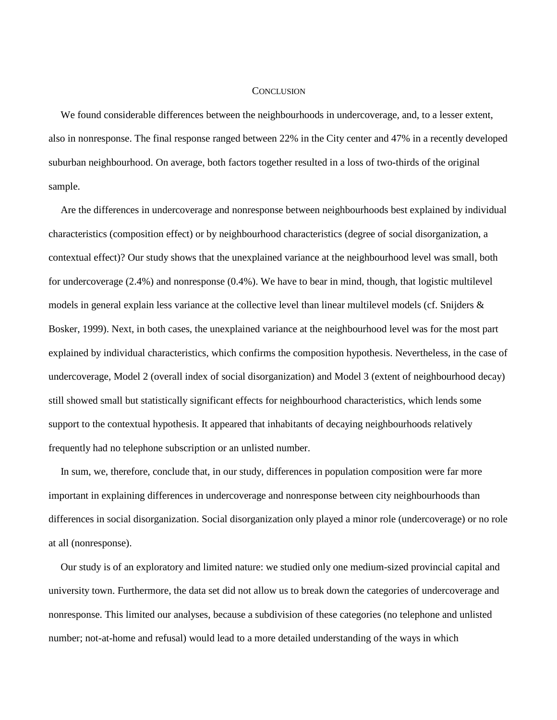#### **CONCLUSION**

 We found considerable differences between the neighbourhoods in undercoverage, and, to a lesser extent, also in nonresponse. The final response ranged between 22% in the City center and 47% in a recently developed suburban neighbourhood. On average, both factors together resulted in a loss of two-thirds of the original sample.

 Are the differences in undercoverage and nonresponse between neighbourhoods best explained by individual characteristics (composition effect) or by neighbourhood characteristics (degree of social disorganization, a contextual effect)? Our study shows that the unexplained variance at the neighbourhood level was small, both for undercoverage (2.4%) and nonresponse (0.4%). We have to bear in mind, though, that logistic multilevel models in general explain less variance at the collective level than linear multilevel models (cf. Snijders & Bosker, 1999). Next, in both cases, the unexplained variance at the neighbourhood level was for the most part explained by individual characteristics, which confirms the composition hypothesis. Nevertheless, in the case of undercoverage, Model 2 (overall index of social disorganization) and Model 3 (extent of neighbourhood decay) still showed small but statistically significant effects for neighbourhood characteristics, which lends some support to the contextual hypothesis. It appeared that inhabitants of decaying neighbourhoods relatively frequently had no telephone subscription or an unlisted number.

 In sum, we, therefore, conclude that, in our study, differences in population composition were far more important in explaining differences in undercoverage and nonresponse between city neighbourhoods than differences in social disorganization. Social disorganization only played a minor role (undercoverage) or no role at all (nonresponse).

 Our study is of an exploratory and limited nature: we studied only one medium-sized provincial capital and university town. Furthermore, the data set did not allow us to break down the categories of undercoverage and nonresponse. This limited our analyses, because a subdivision of these categories (no telephone and unlisted number; not-at-home and refusal) would lead to a more detailed understanding of the ways in which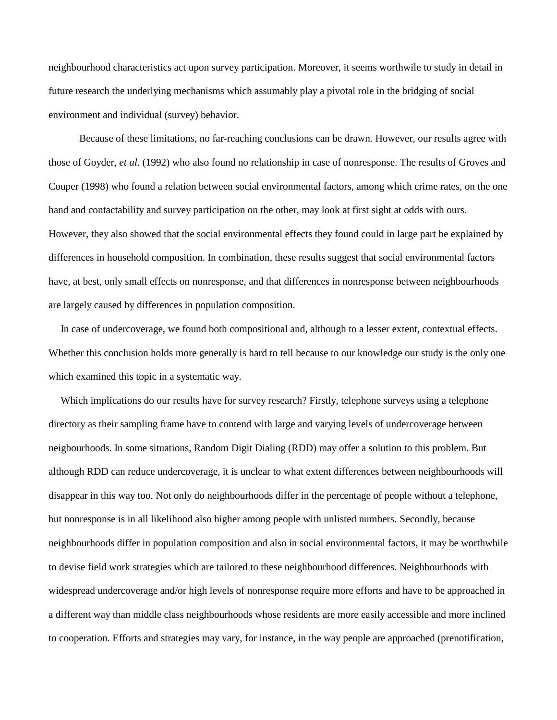neighbourhood characteristics act upon survey participation. Moreover, it seems worthwile to study in detail in future research the underlying mechanisms which assumably play a pivotal role in the bridging of social environment and individual (survey) behavior.

Because of these limitations, no far-reaching conclusions can be drawn. However, our results agree with those of Goyder, *et al*. (1992) who also found no relationship in case of nonresponse. The results of Groves and Couper (1998) who found a relation between social environmental factors, among which crime rates, on the one hand and contactability and survey participation on the other, may look at first sight at odds with ours. However, they also showed that the social environmental effects they found could in large part be explained by differences in household composition. In combination, these results suggest that social environmental factors have, at best, only small effects on nonresponse, and that differences in nonresponse between neighbourhoods are largely caused by differences in population composition.

 In case of undercoverage, we found both compositional and, although to a lesser extent, contextual effects. Whether this conclusion holds more generally is hard to tell because to our knowledge our study is the only one which examined this topic in a systematic way.

 Which implications do our results have for survey research? Firstly, telephone surveys using a telephone directory as their sampling frame have to contend with large and varying levels of undercoverage between neigbourhoods. In some situations, Random Digit Dialing (RDD) may offer a solution to this problem. But although RDD can reduce undercoverage, it is unclear to what extent differences between neighbourhoods will disappear in this way too. Not only do neighbourhoods differ in the percentage of people without a telephone, but nonresponse is in all likelihood also higher among people with unlisted numbers. Secondly, because neighbourhoods differ in population composition and also in social environmental factors, it may be worthwhile to devise field work strategies which are tailored to these neighbourhood differences. Neighbourhoods with widespread undercoverage and/or high levels of nonresponse require more efforts and have to be approached in a different way than middle class neighbourhoods whose residents are more easily accessible and more inclined to cooperation. Efforts and strategies may vary, for instance, in the way people are approached (prenotification,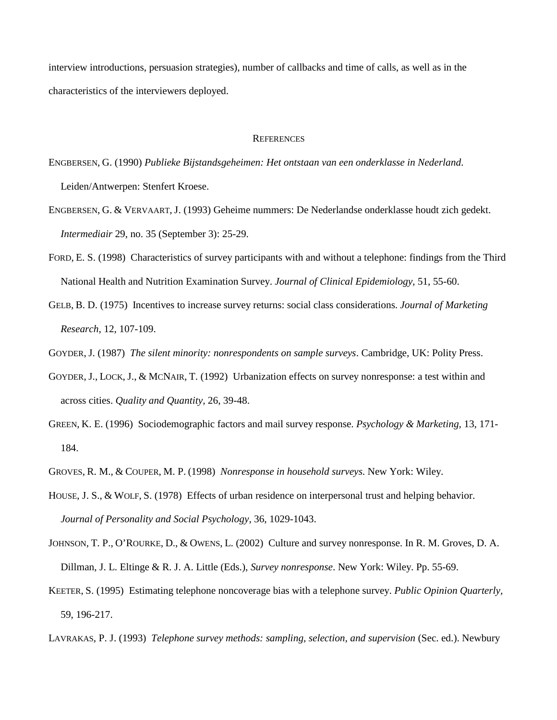interview introductions, persuasion strategies), number of callbacks and time of calls, as well as in the characteristics of the interviewers deployed.

#### **REFERENCES**

- ENGBERSEN, G. (1990) *Publieke Bijstandsgeheimen: Het ontstaan van een onderklasse in Nederland*. Leiden/Antwerpen: Stenfert Kroese.
- ENGBERSEN, G. & VERVAART, J. (1993) Geheime nummers: De Nederlandse onderklasse houdt zich gedekt. *Intermediair* 29, no. 35 (September 3): 25-29.
- FORD, E. S. (1998) Characteristics of survey participants with and without a telephone: findings from the Third National Health and Nutrition Examination Survey. *Journal of Clinical Epidemiology,* 51, 55-60.
- GELB, B. D. (1975) Incentives to increase survey returns: social class considerations. *Journal of Marketing Research,* 12, 107-109.

GOYDER, J. (1987) *The silent minority: nonrespondents on sample surveys*. Cambridge, UK: Polity Press.

- GOYDER, J., LOCK, J., & MCNAIR, T. (1992) Urbanization effects on survey nonresponse: a test within and across cities. *Quality and Quantity,* 26, 39-48.
- GREEN, K. E. (1996) Sociodemographic factors and mail survey response. *Psychology & Marketing,* 13, 171- 184.
- GROVES, R. M., & COUPER, M. P. (1998) *Nonresponse in household surveys*. New York: Wiley.
- HOUSE, J. S., & WOLF, S. (1978) Effects of urban residence on interpersonal trust and helping behavior. *Journal of Personality and Social Psychology,* 36, 1029-1043.
- JOHNSON, T. P., O'ROURKE, D., & OWENS, L. (2002) Culture and survey nonresponse. In R. M. Groves, D. A. Dillman, J. L. Eltinge & R. J. A. Little (Eds.), *Survey nonresponse*. New York: Wiley. Pp. 55-69.
- KEETER, S. (1995) Estimating telephone noncoverage bias with a telephone survey. *Public Opinion Quarterly,*  59, 196-217.
- LAVRAKAS, P. J. (1993) *Telephone survey methods: sampling, selection, and supervision* (Sec. ed.). Newbury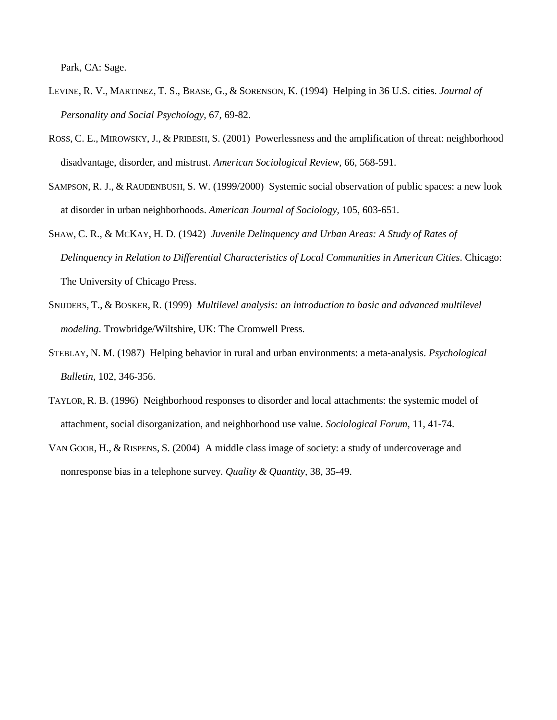Park, CA: Sage.

- LEVINE, R. V., MARTINEZ, T. S., BRASE, G., & SORENSON, K. (1994) Helping in 36 U.S. cities. *Journal of Personality and Social Psychology,* 67, 69-82.
- ROSS, C. E., MIROWSKY, J., & PRIBESH, S. (2001) Powerlessness and the amplification of threat: neighborhood disadvantage, disorder, and mistrust. *American Sociological Review,* 66, 568-591.
- SAMPSON, R. J., & RAUDENBUSH, S. W. (1999/2000) Systemic social observation of public spaces: a new look at disorder in urban neighborhoods. *American Journal of Sociology,* 105, 603-651.
- SHAW, C. R., & MCKAY, H. D. (1942) *Juvenile Delinquency and Urban Areas: A Study of Rates of Delinquency in Relation to Differential Characteristics of Local Communities in American Cities*. Chicago: The University of Chicago Press.
- SNIJDERS, T., & BOSKER, R. (1999) *Multilevel analysis: an introduction to basic and advanced multilevel modeling*. Trowbridge/Wiltshire, UK: The Cromwell Press.
- STEBLAY, N. M. (1987) Helping behavior in rural and urban environments: a meta-analysis. *Psychological Bulletin,* 102, 346-356.
- TAYLOR, R. B. (1996) Neighborhood responses to disorder and local attachments: the systemic model of attachment, social disorganization, and neighborhood use value. *Sociological Forum,* 11, 41-74.
- VAN GOOR, H., & RISPENS, S. (2004) A middle class image of society: a study of undercoverage and nonresponse bias in a telephone survey. *Quality & Quantity,* 38, 35-49.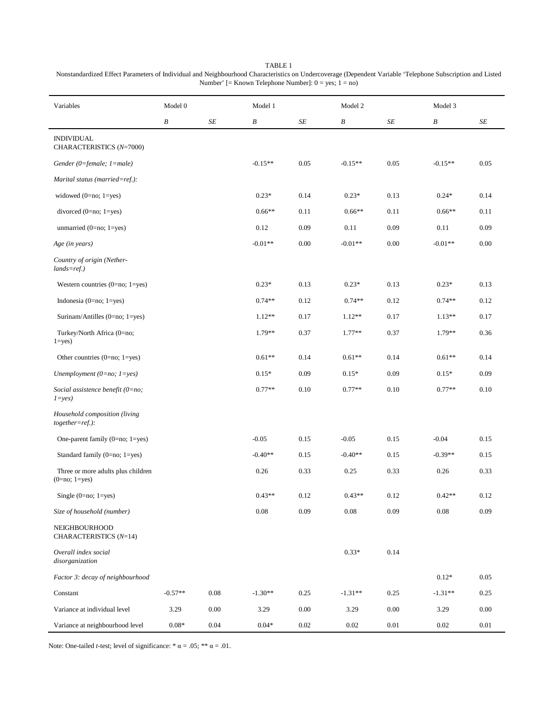| Variables                                             | Model 0   |      | Model 1   |           | Model 2          |          |           | Model 3  |  |
|-------------------------------------------------------|-----------|------|-----------|-----------|------------------|----------|-----------|----------|--|
|                                                       | B         | SE   | B         | $\cal SE$ | $\boldsymbol{B}$ | SE       | B         | SE       |  |
| <b>INDIVIDUAL</b><br>CHARACTERISTICS (N=7000)         |           |      |           |           |                  |          |           |          |  |
| Gender (0=female; $1$ =male)                          |           |      | $-0.15**$ | 0.05      | $-0.15**$        | 0.05     | $-0.15**$ | 0.05     |  |
| Marital status (married=ref.):                        |           |      |           |           |                  |          |           |          |  |
| widowed $(0=no; 1=yes)$                               |           |      | $0.23*$   | 0.14      | $0.23*$          | 0.13     | $0.24*$   | 0.14     |  |
| divorced $(0=no; 1=yes)$                              |           |      | $0.66**$  | 0.11      | $0.66**$         | 0.11     | $0.66**$  | 0.11     |  |
| unmarried $(0=no; 1=yes)$                             |           |      | 0.12      | 0.09      | 0.11             | 0.09     | 0.11      | 0.09     |  |
| Age (in years)                                        |           |      | $-0.01**$ | 0.00      | $-0.01**$        | 0.00     | $-0.01**$ | 0.00     |  |
| Country of origin (Nether-<br>$lands = ref.$ )        |           |      |           |           |                  |          |           |          |  |
| Western countries $(0=no; 1=yes)$                     |           |      | $0.23*$   | 0.13      | $0.23*$          | 0.13     | $0.23*$   | 0.13     |  |
| Indonesia (0=no; $1 = yes$ )                          |           |      | $0.74**$  | 0.12      | $0.74**$         | 0.12     | $0.74**$  | 0.12     |  |
| Surinam/Antilles $(0=no; 1=yes)$                      |           |      | $1.12**$  | 0.17      | $1.12**$         | 0.17     | $1.13**$  | 0.17     |  |
| Turkey/North Africa (0=no;<br>$1 = yes$               |           |      | $1.79**$  | 0.37      | $1.77**$         | 0.37     | $1.79**$  | 0.36     |  |
| Other countries $(0=no; 1=yes)$                       |           |      | $0.61**$  | 0.14      | $0.61**$         | 0.14     | $0.61**$  | 0.14     |  |
| Unemployment (0=no; $1 = yes$ )                       |           |      | $0.15*$   | 0.09      | $0.15*$          | 0.09     | $0.15*$   | 0.09     |  |
| Social assistence benefit (0=no;<br>$1 = yes$         |           |      | $0.77**$  | 0.10      | $0.77**$         | 0.10     | $0.77**$  | 0.10     |  |
| Household composition (living<br>$together = ref.$ ): |           |      |           |           |                  |          |           |          |  |
| One-parent family (0=no; 1=yes)                       |           |      | $-0.05$   | 0.15      | $-0.05$          | 0.15     | $-0.04$   | 0.15     |  |
| Standard family $(0=no; 1=yes)$                       |           |      | $-0.40**$ | 0.15      | $-0.40**$        | 0.15     | $-0.39**$ | 0.15     |  |
| Three or more adults plus children<br>$(0=no; 1=yes)$ |           |      | 0.26      | 0.33      | 0.25             | 0.33     | 0.26      | 0.33     |  |
| Single $(0=no; 1=yes)$                                |           |      | $0.43**$  | 0.12      | $0.43**$         | 0.12     | $0.42**$  | 0.12     |  |
| Size of household (number)                            |           |      | $0.08\,$  | 0.09      | 0.08             | 0.09     | $0.08\,$  | 0.09     |  |
| NEIGHBOURHOOD<br>CHARACTERISTICS (N=14)               |           |      |           |           |                  |          |           |          |  |
| Overall index social<br>disorganization               |           |      |           |           | $0.33*$          | 0.14     |           |          |  |
| Factor 3: decay of neighbourhood                      |           |      |           |           |                  |          | $0.12*$   | 0.05     |  |
| Constant                                              | $-0.57**$ | 0.08 | $-1.30**$ | 0.25      | $-1.31**$        | 0.25     | $-1.31**$ | 0.25     |  |
| Variance at individual level                          | 3.29      | 0.00 | 3.29      | 0.00      | 3.29             | 0.00     | 3.29      | 0.00     |  |
| Variance at neighbourhood level                       | $0.08*$   | 0.04 | $0.04*$   | $0.02\,$  | 0.02             | $0.01\,$ | 0.02      | $0.01\,$ |  |

TABLE 1 Nonstandardized Effect Parameters of Individual and Neighbourhood Characteristics on Undercoverage (Dependent Variable 'Telephone Subscription and Listed Number' [= Known Telephone Number]:  $0 = yes$ ;  $1 = no$ )

Note: One-tailed *t*-test; level of significance: \*  $\alpha = .05$ ; \*\*  $\alpha = .01$ .